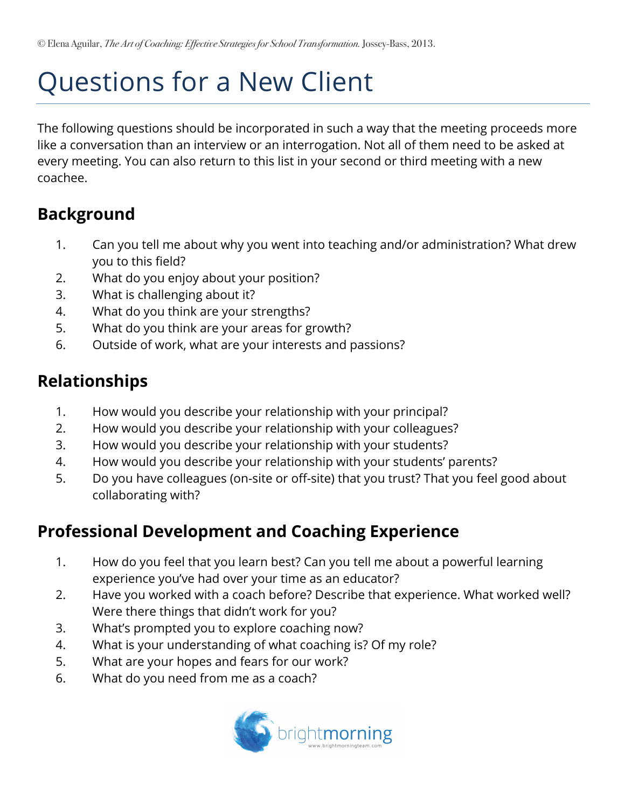# Questions for a New Client

The following questions should be incorporated in such a way that the meeting proceeds more like a conversation than an interview or an interrogation. Not all of them need to be asked at every meeting. You can also return to this list in your second or third meeting with a new coachee.

### **Background**

- 1. Can you tell me about why you went into teaching and/or administration? What drew you to this field?
- 2. What do you enjoy about your position?
- 3. What is challenging about it?
- 4. What do you think are your strengths?
- 5. What do you think are your areas for growth?
- 6. Outside of work, what are your interests and passions?

### **Relationships**

- 1. How would you describe your relationship with your principal?
- 2. How would you describe your relationship with your colleagues?
- 3. How would you describe your relationship with your students?
- 4. How would you describe your relationship with your students' parents?
- 5. Do you have colleagues (on-site or off-site) that you trust? That you feel good about collaborating with?

## **Professional Development and Coaching Experience**

- 1. How do you feel that you learn best? Can you tell me about a powerful learning experience you've had over your time as an educator?
- 2. Have you worked with a coach before? Describe that experience. What worked well? Were there things that didn't work for you?
- 3. What's prompted you to explore coaching now?
- 4. What is your understanding of what coaching is? Of my role?
- 5. What are your hopes and fears for our work?
- 6. What do you need from me as a coach?